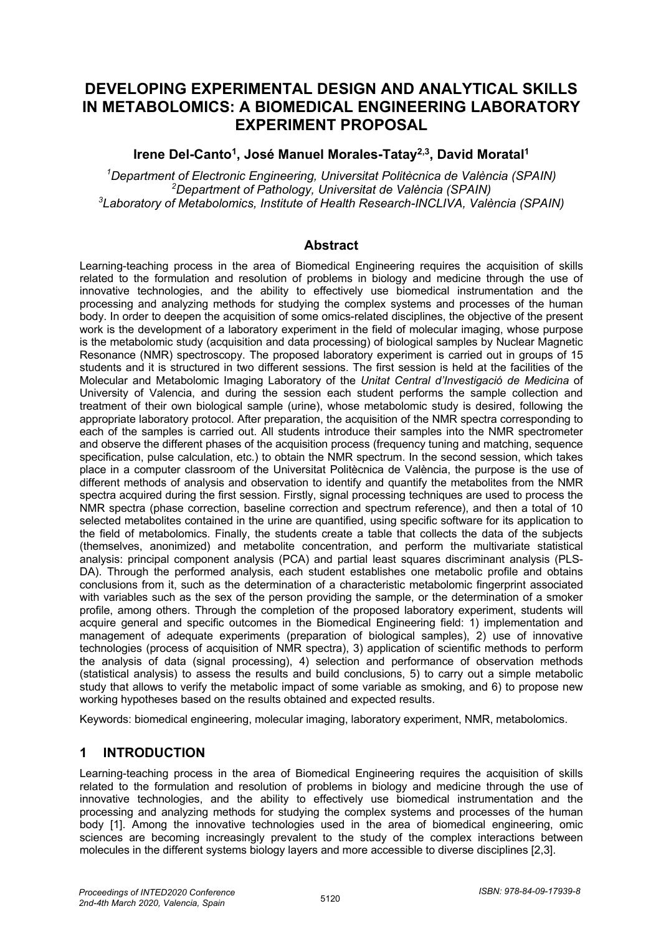# **DEVELOPING EXPERIMENTAL DESIGN AND ANALYTICAL SKILLS IN METABOLOMICS: A BIOMEDICAL ENGINEERING LABORATORY EXPERIMENT PROPOSAL**

## **Irene Del-Canto1, José Manuel Morales-Tatay2,3, David Moratal1**

*1 Department of Electronic Engineering, Universitat Politècnica de València (SPAIN) 2 Department of Pathology, Universitat de València (SPAIN) 3 Laboratory of Metabolomics, Institute of Health Research-INCLIVA, València (SPAIN)*

#### **Abstract**

Learning-teaching process in the area of Biomedical Engineering requires the acquisition of skills related to the formulation and resolution of problems in biology and medicine through the use of innovative technologies, and the ability to effectively use biomedical instrumentation and the processing and analyzing methods for studying the complex systems and processes of the human body. In order to deepen the acquisition of some omics-related disciplines, the objective of the present work is the development of a laboratory experiment in the field of molecular imaging, whose purpose is the metabolomic study (acquisition and data processing) of biological samples by Nuclear Magnetic Resonance (NMR) spectroscopy. The proposed laboratory experiment is carried out in groups of 15 students and it is structured in two different sessions. The first session is held at the facilities of the Molecular and Metabolomic Imaging Laboratory of the *Unitat Central d'Investigació de Medicina* of University of Valencia, and during the session each student performs the sample collection and treatment of their own biological sample (urine), whose metabolomic study is desired, following the appropriate laboratory protocol. After preparation, the acquisition of the NMR spectra corresponding to each of the samples is carried out. All students introduce their samples into the NMR spectrometer and observe the different phases of the acquisition process (frequency tuning and matching, sequence specification, pulse calculation, etc.) to obtain the NMR spectrum. In the second session, which takes place in a computer classroom of the Universitat Politècnica de València, the purpose is the use of different methods of analysis and observation to identify and quantify the metabolites from the NMR spectra acquired during the first session. Firstly, signal processing techniques are used to process the NMR spectra (phase correction, baseline correction and spectrum reference), and then a total of 10 selected metabolites contained in the urine are quantified, using specific software for its application to the field of metabolomics. Finally, the students create a table that collects the data of the subjects (themselves, anonimized) and metabolite concentration, and perform the multivariate statistical analysis: principal component analysis (PCA) and partial least squares discriminant analysis (PLS-DA). Through the performed analysis, each student establishes one metabolic profile and obtains conclusions from it, such as the determination of a characteristic metabolomic fingerprint associated with variables such as the sex of the person providing the sample, or the determination of a smoker profile, among others. Through the completion of the proposed laboratory experiment, students will acquire general and specific outcomes in the Biomedical Engineering field: 1) implementation and management of adequate experiments (preparation of biological samples), 2) use of innovative technologies (process of acquisition of NMR spectra), 3) application of scientific methods to perform the analysis of data (signal processing), 4) selection and performance of observation methods (statistical analysis) to assess the results and build conclusions, 5) to carry out a simple metabolic study that allows to verify the metabolic impact of some variable as smoking, and 6) to propose new working hypotheses based on the results obtained and expected results.

Keywords: biomedical engineering, molecular imaging, laboratory experiment, NMR, metabolomics.

## **1 INTRODUCTION**

Learning-teaching process in the area of Biomedical Engineering requires the acquisition of skills related to the formulation and resolution of problems in biology and medicine through the use of innovative technologies, and the ability to effectively use biomedical instrumentation and the processing and analyzing methods for studying the complex systems and processes of the human body [1]. Among the innovative technologies used in the area of biomedical engineering, omic sciences are becoming increasingly prevalent to the study of the complex interactions between molecules in the different systems biology layers and more accessible to diverse disciplines [2,3].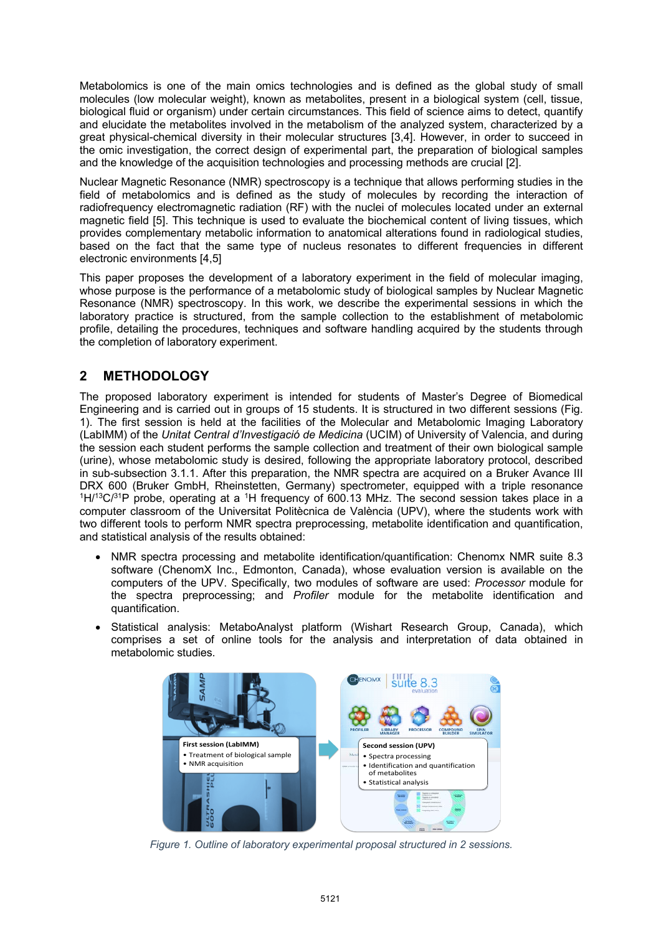Metabolomics is one of the main omics technologies and is defined as the global study of small molecules (low molecular weight), known as metabolites, present in a biological system (cell, tissue, biological fluid or organism) under certain circumstances. This field of science aims to detect, quantify and elucidate the metabolites involved in the metabolism of the analyzed system, characterized by a great physical-chemical diversity in their molecular structures [3,4]. However, in order to succeed in the omic investigation, the correct design of experimental part, the preparation of biological samples and the knowledge of the acquisition technologies and processing methods are crucial [2].

Nuclear Magnetic Resonance (NMR) spectroscopy is a technique that allows performing studies in the field of metabolomics and is defined as the study of molecules by recording the interaction of radiofrequency electromagnetic radiation (RF) with the nuclei of molecules located under an external magnetic field [5]. This technique is used to evaluate the biochemical content of living tissues, which provides complementary metabolic information to anatomical alterations found in radiological studies, based on the fact that the same type of nucleus resonates to different frequencies in different electronic environments [4,5]

This paper proposes the development of a laboratory experiment in the field of molecular imaging, whose purpose is the performance of a metabolomic study of biological samples by Nuclear Magnetic Resonance (NMR) spectroscopy. In this work, we describe the experimental sessions in which the laboratory practice is structured, from the sample collection to the establishment of metabolomic profile, detailing the procedures, techniques and software handling acquired by the students through the completion of laboratory experiment.

## **2 METHODOLOGY**

The proposed laboratory experiment is intended for students of Master's Degree of Biomedical Engineering and is carried out in groups of 15 students. It is structured in two different sessions (Fig. 1). The first session is held at the facilities of the Molecular and Metabolomic Imaging Laboratory (LabIMM) of the *Unitat Central d'Investigació de Medicina* (UCIM) of University of Valencia, and during the session each student performs the sample collection and treatment of their own biological sample (urine), whose metabolomic study is desired, following the appropriate laboratory protocol, described in sub-subsection 3.1.1. After this preparation, the NMR spectra are acquired on a Bruker Avance III DRX 600 (Bruker GmbH, Rheinstetten, Germany) spectrometer, equipped with a triple resonance  $1H/13C/31P$  probe, operating at a 1H frequency of 600.13 MHz. The second session takes place in a computer classroom of the Universitat Politècnica de València (UPV), where the students work with two different tools to perform NMR spectra preprocessing, metabolite identification and quantification, and statistical analysis of the results obtained:

- NMR spectra processing and metabolite identification/quantification: Chenomx NMR suite 8.3 software (ChenomX Inc., Edmonton, Canada), whose evaluation version is available on the computers of the UPV. Specifically, two modules of software are used: *Processor* module for the spectra preprocessing; and *Profiler* module for the metabolite identification and quantification.
- Statistical analysis: MetaboAnalyst platform (Wishart Research Group, Canada), which comprises a set of online tools for the analysis and interpretation of data obtained in metabolomic studies.



*Figure 1. Outline of laboratory experimental proposal structured in 2 sessions.*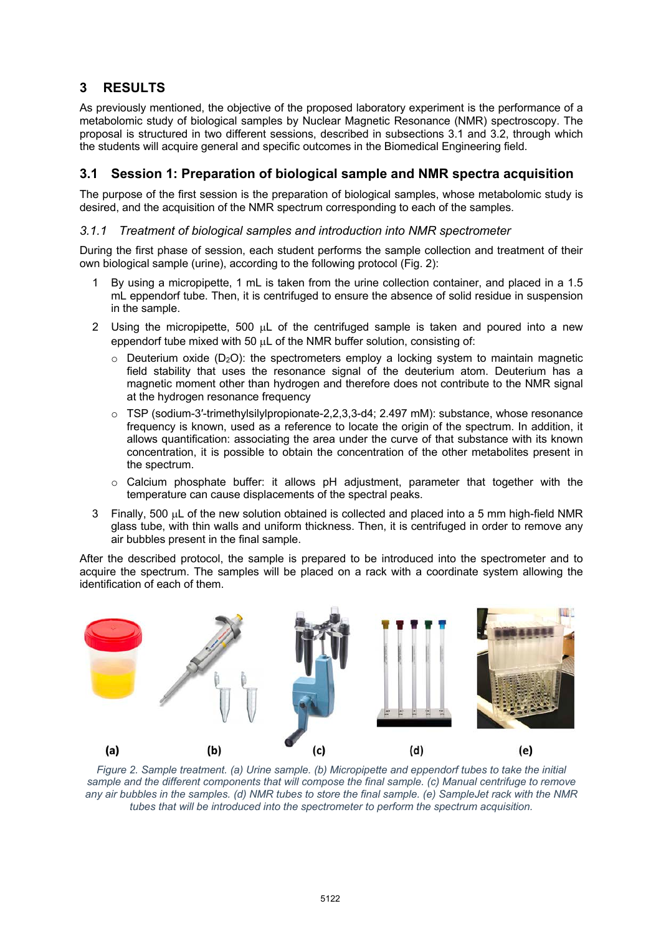## **3 RESULTS**

As previously mentioned, the objective of the proposed laboratory experiment is the performance of a metabolomic study of biological samples by Nuclear Magnetic Resonance (NMR) spectroscopy. The proposal is structured in two different sessions, described in subsections 3.1 and 3.2, through which the students will acquire general and specific outcomes in the Biomedical Engineering field.

## **3.1 Session 1: Preparation of biological sample and NMR spectra acquisition**

The purpose of the first session is the preparation of biological samples, whose metabolomic study is desired, and the acquisition of the NMR spectrum corresponding to each of the samples.

#### *3.1.1 Treatment of biological samples and introduction into NMR spectrometer*

During the first phase of session, each student performs the sample collection and treatment of their own biological sample (urine), according to the following protocol (Fig. 2):

- 1 By using a micropipette, 1 mL is taken from the urine collection container, and placed in a 1.5 mL eppendorf tube. Then, it is centrifuged to ensure the absence of solid residue in suspension in the sample.
- 2 Using the micropipette, 500 µL of the centrifuged sample is taken and poured into a new eppendorf tube mixed with 50  $\mu$ L of the NMR buffer solution, consisting of:
	- $\circ$  Deuterium oxide (D<sub>2</sub>O): the spectrometers employ a locking system to maintain magnetic field stability that uses the resonance signal of the deuterium atom. Deuterium has a magnetic moment other than hydrogen and therefore does not contribute to the NMR signal at the hydrogen resonance frequency
	- o TSP (sodium-3′-trimethylsilylpropionate-2,2,3,3-d4; 2.497 mM): substance, whose resonance frequency is known, used as a reference to locate the origin of the spectrum. In addition, it allows quantification: associating the area under the curve of that substance with its known concentration, it is possible to obtain the concentration of the other metabolites present in the spectrum.
	- $\circ$  Calcium phosphate buffer: it allows pH adiustment, parameter that together with the temperature can cause displacements of the spectral peaks.
- 3 Finally, 500 µL of the new solution obtained is collected and placed into a 5 mm high-field NMR glass tube, with thin walls and uniform thickness. Then, it is centrifuged in order to remove any air bubbles present in the final sample.

After the described protocol, the sample is prepared to be introduced into the spectrometer and to acquire the spectrum. The samples will be placed on a rack with a coordinate system allowing the identification of each of them.



*Figure 2. Sample treatment. (a) Urine sample. (b) Micropipette and eppendorf tubes to take the initial sample and the different components that will compose the final sample. (c) Manual centrifuge to remove any air bubbles in the samples. (d) NMR tubes to store the final sample. (e) SampleJet rack with the NMR tubes that will be introduced into the spectrometer to perform the spectrum acquisition.*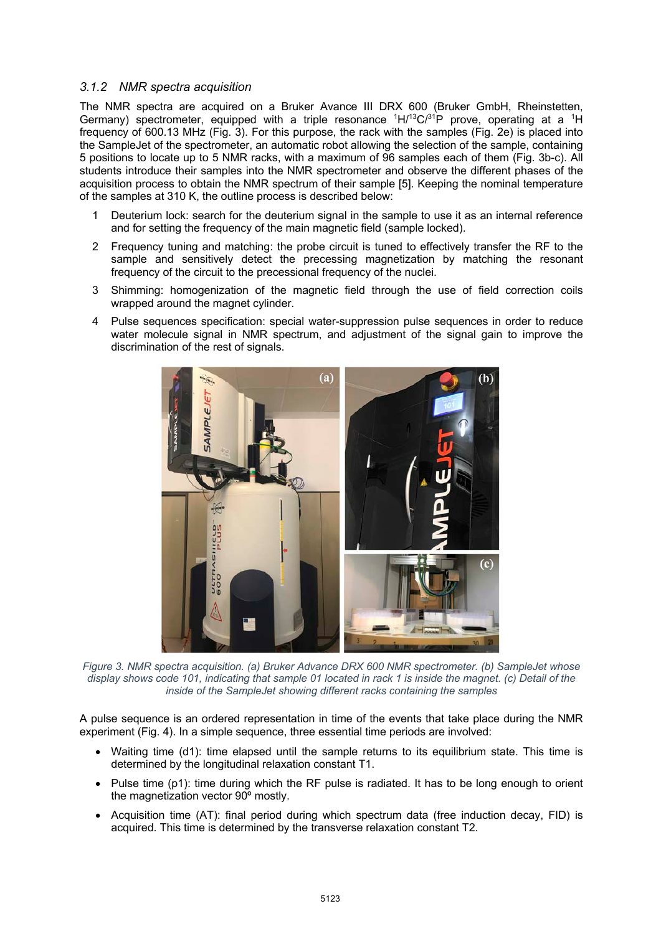#### *3.1.2 NMR spectra acquisition*

The NMR spectra are acquired on a Bruker Avance III DRX 600 (Bruker GmbH, Rheinstetten, Germany) spectrometer, equipped with a triple resonance  ${}^{1}H/{}^{13}C/{}^{31}P$  prove, operating at a  ${}^{1}H$ frequency of 600.13 MHz (Fig. 3). For this purpose, the rack with the samples (Fig. 2e) is placed into the SampleJet of the spectrometer, an automatic robot allowing the selection of the sample, containing 5 positions to locate up to 5 NMR racks, with a maximum of 96 samples each of them (Fig. 3b-c). All students introduce their samples into the NMR spectrometer and observe the different phases of the acquisition process to obtain the NMR spectrum of their sample [5]. Keeping the nominal temperature of the samples at 310 K, the outline process is described below:

- Deuterium lock: search for the deuterium signal in the sample to use it as an internal reference and for setting the frequency of the main magnetic field (sample locked).
- 2 Frequency tuning and matching: the probe circuit is tuned to effectively transfer the RF to the sample and sensitively detect the precessing magnetization by matching the resonant frequency of the circuit to the precessional frequency of the nuclei.
- 3 Shimming: homogenization of the magnetic field through the use of field correction coils wrapped around the magnet cylinder.
- 4 Pulse sequences specification: special water-suppression pulse sequences in order to reduce water molecule signal in NMR spectrum, and adjustment of the signal gain to improve the discrimination of the rest of signals.



*Figure 3. NMR spectra acquisition. (a) Bruker Advance DRX 600 NMR spectrometer. (b) SampleJet whose display shows code 101, indicating that sample 01 located in rack 1 is inside the magnet. (c) Detail of the inside of the SampleJet showing different racks containing the samples*

A pulse sequence is an ordered representation in time of the events that take place during the NMR experiment (Fig. 4). In a simple sequence, three essential time periods are involved:

- Waiting time (d1): time elapsed until the sample returns to its equilibrium state. This time is determined by the longitudinal relaxation constant T1.
- Pulse time (p1): time during which the RF pulse is radiated. It has to be long enough to orient the magnetization vector 90º mostly.
- Acquisition time (AT): final period during which spectrum data (free induction decay, FID) is acquired. This time is determined by the transverse relaxation constant T2.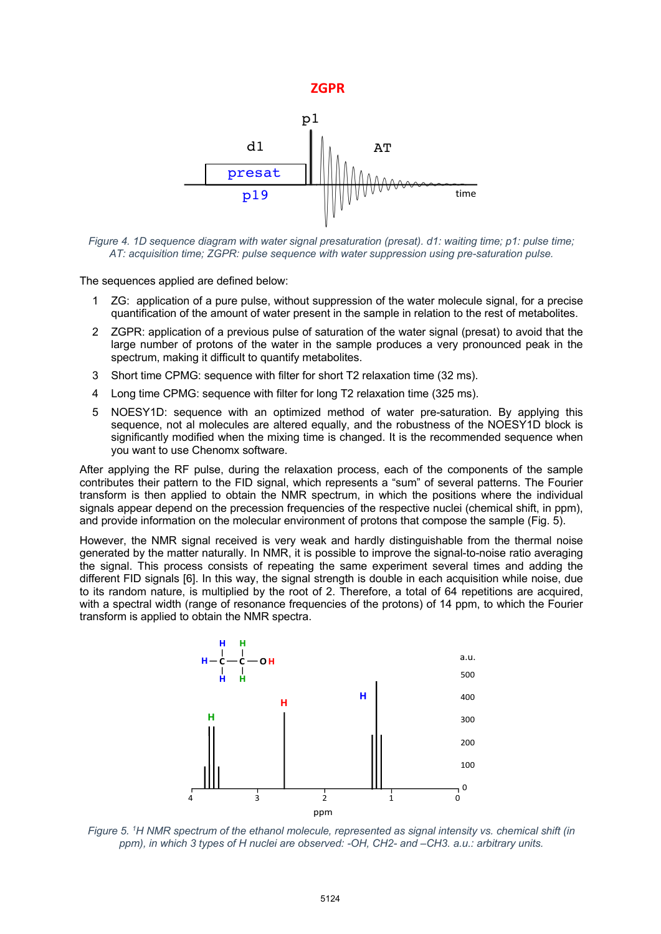#### **ZGPR**



*Figure 4. 1D sequence diagram with water signal presaturation (presat). d1: waiting time; p1: pulse time; AT: acquisition time; ZGPR: pulse sequence with water suppression using pre-saturation pulse.* 

The sequences applied are defined below:

- 1 ZG: application of a pure pulse, without suppression of the water molecule signal, for a precise quantification of the amount of water present in the sample in relation to the rest of metabolites.
- 2 ZGPR: application of a previous pulse of saturation of the water signal (presat) to avoid that the large number of protons of the water in the sample produces a very pronounced peak in the spectrum, making it difficult to quantify metabolites.
- 3 Short time CPMG: sequence with filter for short T2 relaxation time (32 ms).
- 4 Long time CPMG: sequence with filter for long T2 relaxation time (325 ms).
- 5 NOESY1D: sequence with an optimized method of water pre-saturation. By applying this sequence, not al molecules are altered equally, and the robustness of the NOESY1D block is significantly modified when the mixing time is changed. It is the recommended sequence when you want to use Chenomx software.

After applying the RF pulse, during the relaxation process, each of the components of the sample contributes their pattern to the FID signal, which represents a "sum" of several patterns. The Fourier transform is then applied to obtain the NMR spectrum, in which the positions where the individual signals appear depend on the precession frequencies of the respective nuclei (chemical shift, in ppm), and provide information on the molecular environment of protons that compose the sample (Fig. 5).

However, the NMR signal received is very weak and hardly distinguishable from the thermal noise generated by the matter naturally. In NMR, it is possible to improve the signal-to-noise ratio averaging the signal. This process consists of repeating the same experiment several times and adding the different FID signals [6]. In this way, the signal strength is double in each acquisition while noise, due to its random nature, is multiplied by the root of 2. Therefore, a total of 64 repetitions are acquired, with a spectral width (range of resonance frequencies of the protons) of 14 ppm, to which the Fourier transform is applied to obtain the NMR spectra.



*Figure 5. 1 H NMR spectrum of the ethanol molecule, represented as signal intensity vs. chemical shift (in ppm), in which 3 types of H nuclei are observed: -OH, CH2- and –CH3. a.u.: arbitrary units.*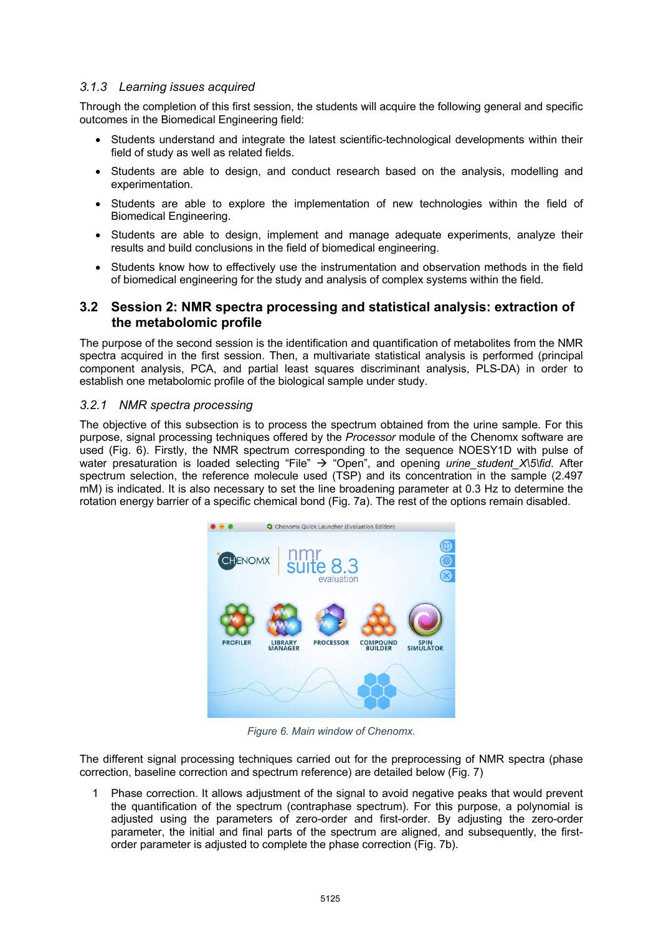#### *3.1.3 Learning issues acquired*

Through the completion of this first session, the students will acquire the following general and specific outcomes in the Biomedical Engineering field:

- Students understand and integrate the latest scientific-technological developments within their field of study as well as related fields.
- Students are able to design, and conduct research based on the analysis, modelling and experimentation.
- Students are able to explore the implementation of new technologies within the field of Biomedical Engineering.
- Students are able to design, implement and manage adequate experiments, analyze their results and build conclusions in the field of biomedical engineering.
- Students know how to effectively use the instrumentation and observation methods in the field of biomedical engineering for the study and analysis of complex systems within the field.

#### **3.2 Session 2: NMR spectra processing and statistical analysis: extraction of the metabolomic profile**

The purpose of the second session is the identification and quantification of metabolites from the NMR spectra acquired in the first session. Then, a multivariate statistical analysis is performed (principal component analysis, PCA, and partial least squares discriminant analysis, PLS-DA) in order to establish one metabolomic profile of the biological sample under study.

#### *3.2.1 NMR spectra processing*

The objective of this subsection is to process the spectrum obtained from the urine sample. For this purpose, signal processing techniques offered by the *Processor* module of the Chenomx software are used (Fig. 6). Firstly, the NMR spectrum corresponding to the sequence NOESY1D with pulse of water presaturation is loaded selecting "File"  $\rightarrow$  "Open", and opening *urine student X\5\fid*. After spectrum selection, the reference molecule used (TSP) and its concentration in the sample (2.497 mM) is indicated. It is also necessary to set the line broadening parameter at 0.3 Hz to determine the rotation energy barrier of a specific chemical bond (Fig. 7a). The rest of the options remain disabled.



*Figure 6. Main window of Chenomx.*

The different signal processing techniques carried out for the preprocessing of NMR spectra (phase correction, baseline correction and spectrum reference) are detailed below (Fig. 7)

1 Phase correction. It allows adjustment of the signal to avoid negative peaks that would prevent the quantification of the spectrum (contraphase spectrum). For this purpose, a polynomial is adjusted using the parameters of zero-order and first-order. By adjusting the zero-order parameter, the initial and final parts of the spectrum are aligned, and subsequently, the firstorder parameter is adjusted to complete the phase correction (Fig. 7b).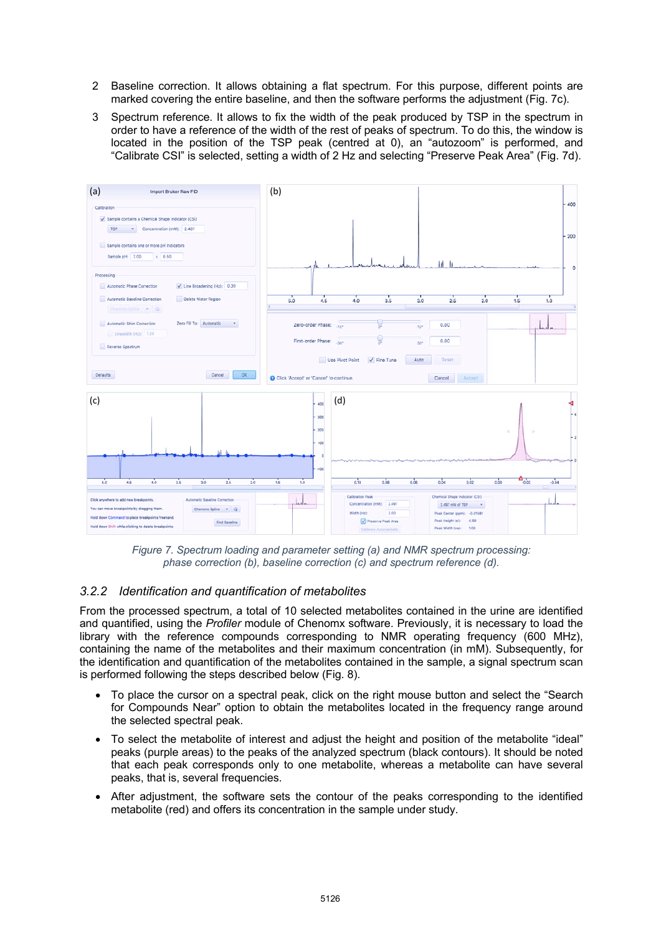- 2 Baseline correction. It allows obtaining a flat spectrum. For this purpose, different points are marked covering the entire baseline, and then the software performs the adjustment (Fig. 7c).
- 3 Spectrum reference. It allows to fix the width of the peak produced by TSP in the spectrum in order to have a reference of the width of the rest of peaks of spectrum. To do this, the window is located in the position of the TSP peak (centred at 0), an "autozoom" is performed, and "Calibrate CSI" is selected, setting a width of 2 Hz and selecting "Preserve Peak Area" (Fig. 7d).



*Figure 7. Spectrum loading and parameter setting (a) and NMR spectrum processing: phase correction (b), baseline correction (c) and spectrum reference (d).* 

## *3.2.2 Identification and quantification of metabolites*

From the processed spectrum, a total of 10 selected metabolites contained in the urine are identified and quantified, using the *Profiler* module of Chenomx software. Previously, it is necessary to load the library with the reference compounds corresponding to NMR operating frequency (600 MHz), containing the name of the metabolites and their maximum concentration (in mM). Subsequently, for the identification and quantification of the metabolites contained in the sample, a signal spectrum scan is performed following the steps described below (Fig. 8).

- To place the cursor on a spectral peak, click on the right mouse button and select the "Search for Compounds Near" option to obtain the metabolites located in the frequency range around the selected spectral peak.
- To select the metabolite of interest and adjust the height and position of the metabolite "ideal" peaks (purple areas) to the peaks of the analyzed spectrum (black contours). It should be noted that each peak corresponds only to one metabolite, whereas a metabolite can have several peaks, that is, several frequencies.
- After adjustment, the software sets the contour of the peaks corresponding to the identified metabolite (red) and offers its concentration in the sample under study.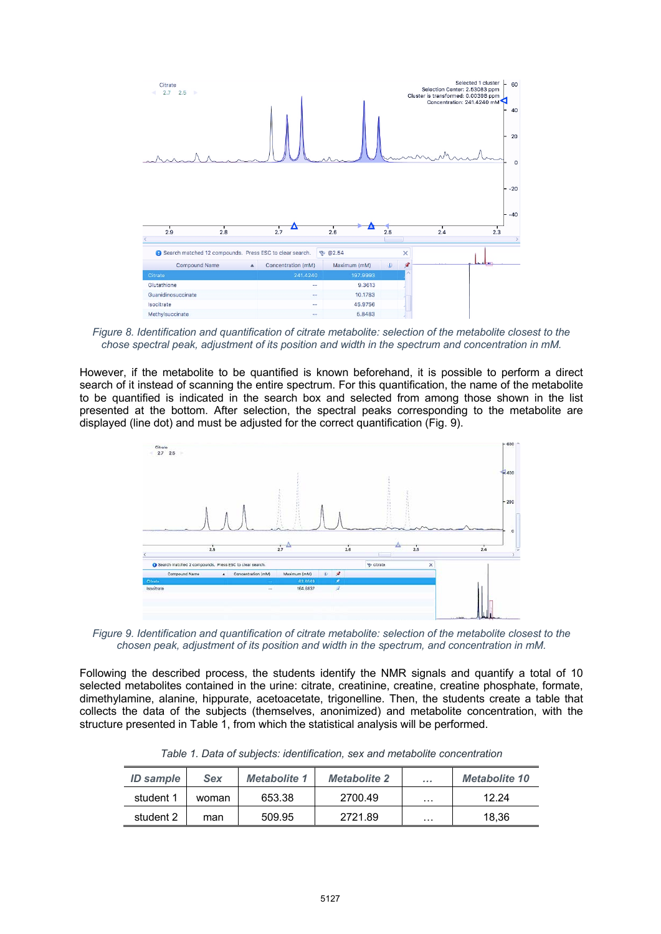

*Figure 8. Identification and quantification of citrate metabolite: selection of the metabolite closest to the chose spectral peak, adjustment of its position and width in the spectrum and concentration in mM.*

However, if the metabolite to be quantified is known beforehand, it is possible to perform a direct search of it instead of scanning the entire spectrum. For this quantification, the name of the metabolite to be quantified is indicated in the search box and selected from among those shown in the list presented at the bottom. After selection, the spectral peaks corresponding to the metabolite are displayed (line dot) and must be adjusted for the correct quantification (Fig. 9).



*Figure 9. Identification and quantification of citrate metabolite: selection of the metabolite closest to the chosen peak, adjustment of its position and width in the spectrum, and concentration in mM.*

Following the described process, the students identify the NMR signals and quantify a total of 10 selected metabolites contained in the urine: citrate, creatinine, creatine, creatine phosphate, formate, dimethylamine, alanine, hippurate, acetoacetate, trigonelline. Then, the students create a table that collects the data of the subjects (themselves, anonimized) and metabolite concentration, with the structure presented in Table 1, from which the statistical analysis will be performed.

| <b>ID</b> sample | <b>Sex</b> | <b>Metabolite 1</b> | <b>Metabolite 2</b> | $\cdots$ | <b>Metabolite 10</b> |
|------------------|------------|---------------------|---------------------|----------|----------------------|
| student 1        | woman      | 653.38              | 2700.49             | $\cdots$ | 12.24                |
| student 2        | man        | 509.95              | 2721.89             | $\cdots$ | 18.36                |

*Table 1. Data of subjects: identification, sex and metabolite concentration*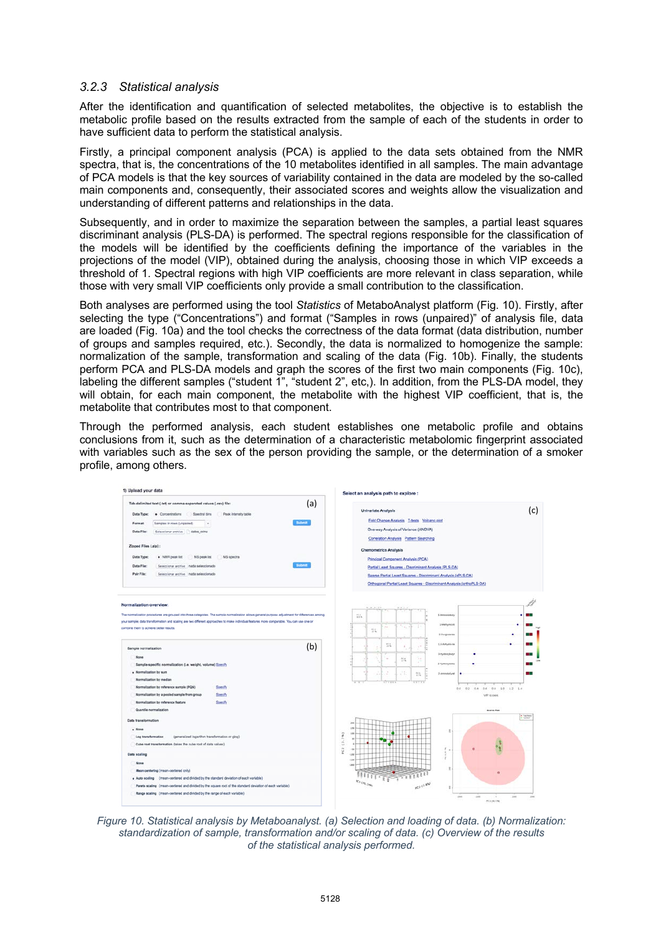#### *3.2.3 Statistical analysis*

After the identification and quantification of selected metabolites, the objective is to establish the metabolic profile based on the results extracted from the sample of each of the students in order to have sufficient data to perform the statistical analysis.

Firstly, a principal component analysis (PCA) is applied to the data sets obtained from the NMR spectra, that is, the concentrations of the 10 metabolites identified in all samples. The main advantage of PCA models is that the key sources of variability contained in the data are modeled by the so-called main components and, consequently, their associated scores and weights allow the visualization and understanding of different patterns and relationships in the data.

Subsequently, and in order to maximize the separation between the samples, a partial least squares discriminant analysis (PLS-DA) is performed. The spectral regions responsible for the classification of the models will be identified by the coefficients defining the importance of the variables in the projections of the model (VIP), obtained during the analysis, choosing those in which VIP exceeds a threshold of 1. Spectral regions with high VIP coefficients are more relevant in class separation, while those with very small VIP coefficients only provide a small contribution to the classification.

Both analyses are performed using the tool *Statistics* of MetaboAnalyst platform (Fig. 10). Firstly, after selecting the type ("Concentrations") and format ("Samples in rows (unpaired)" of analysis file, data are loaded (Fig. 10a) and the tool checks the correctness of the data format (data distribution, number of groups and samples required, etc.). Secondly, the data is normalized to homogenize the sample: normalization of the sample, transformation and scaling of the data (Fig. 10b). Finally, the students perform PCA and PLS-DA models and graph the scores of the first two main components (Fig. 10c), labeling the different samples ("student 1", "student 2", etc,). In addition, from the PLS-DA model, they will obtain, for each main component, the metabolite with the highest VIP coefficient, that is, the metabolite that contributes most to that component.

Through the performed analysis, each student establishes one metabolic profile and obtains conclusions from it, such as the determination of a characteristic metabolomic fingerprint associated with variables such as the sex of the person providing the sample, or the determination of a smoker profile, among others.



*Figure 10. Statistical analysis by Metaboanalyst. (a) Selection and loading of data. (b) Normalization: standardization of sample, transformation and/or scaling of data. (c) Overview of the results of the statistical analysis performed.*